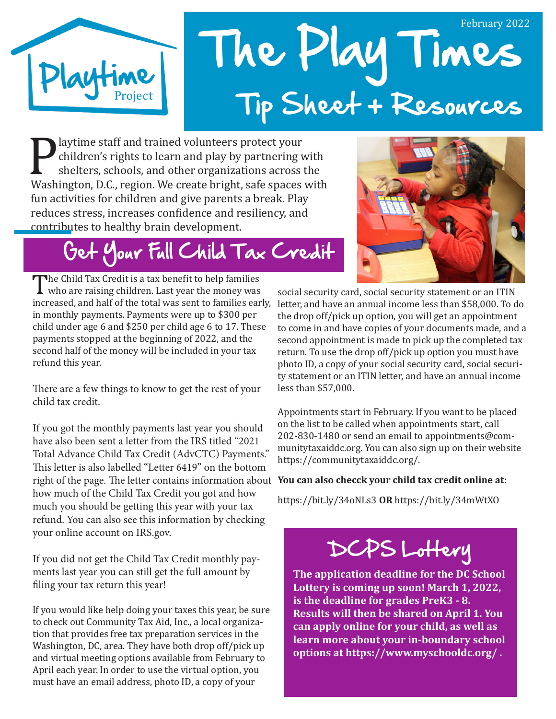

# The Play Times February 2022 Tip Sheet + Resources

Playtime staff and trained volunteers protect your<br>children's rights to learn and play by partnering v<br>shelters, schools, and other organizations across<br>Washington, D.C., region. We create bright, safe spaces children's rights to learn and play by partnering with shelters, schools, and other organizations across the Washington, D.C., region. We create bright, safe spaces with fun activities for children and give parents a break. Play reduces stress, increases confidence and resiliency, and contributes to healthy brain development.

# Get Your Full Child Tax Credit

The Child Tax Credit is a tax benefit to help families<br>who are raising children. Last year the money was<br>increased, and half of the total was sent to families ear who are raising children. Last year the money was in monthly payments. Payments were up to \$300 per child under age 6 and \$250 per child age 6 to 17. These payments stopped at the beginning of 2022, and the second half of the money will be included in your tax refund this year.

There are a few things to know to get the rest of your child tax credit.

If you got the monthly payments last year you should have also been sent a letter from the IRS titled "2021 Total Advance Child Tax Credit (AdvCTC) Payments." This letter is also labelled "Letter 6419" on the bottom right of the page. The letter contains information about **You can also checck your child tax credit online at:** how much of the Child Tax Credit you got and how much you should be getting this year with your tax refund. You can also see this information by checking your online account on IRS.gov.

If you did not get the Child Tax Credit monthly payments last year you can still get the full amount by filing your tax return this year!

If you would like help doing your taxes this year, be sure to check out Community Tax Aid, Inc., a local organization that provides free tax preparation services in the Washington, DC, area. They have both drop off/pick up and virtual meeting options available from February to April each year. In order to use the virtual option, you must have an email address, photo ID, a copy of your



increased, and half of the total was sent to families early, letter, and have an annual income less than \$58,000. To do social security card, social security statement or an ITIN the drop off/pick up option, you will get an appointment to come in and have copies of your documents made, and a second appointment is made to pick up the completed tax return. To use the drop off/pick up option you must have photo ID, a copy of your social security card, social security statement or an ITIN letter, and have an annual income less than \$57,000.

> Appointments start in February. If you want to be placed on the list to be called when appointments start, call 202-830-1480 or send an email to appointments@communitytaxaiddc.org. You can also sign up on their website https://communitytaxaiddc.org/.

https://bit.ly/34oNLs3 **OR** https://bit.ly/34mWtXO

# DCPS Lottery

**The application deadline for the DC School Lottery is coming up soon! March 1, 2022, is the deadline for grades PreK3 - 8. Results will then be shared on April 1. You can apply online for your child, as well as learn more about your in-boundary school options at https://www.myschooldc.org/ .**